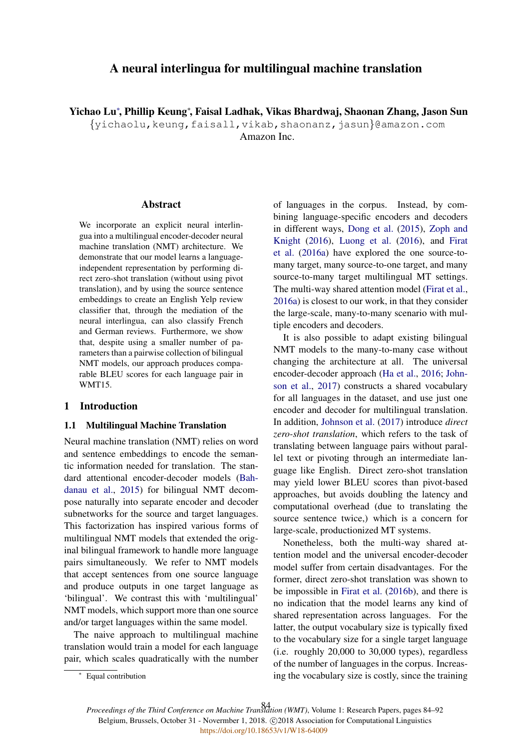# A neural interlingua for multilingual machine translation

Yichao Lu<sup>∗</sup> , Phillip Keung<sup>∗</sup> , Faisal Ladhak, Vikas Bhardwaj, Shaonan Zhang, Jason Sun

{yichaolu,keung,faisall,vikab,shaonanz,jasun}@amazon.com

Amazon Inc.

#### **Abstract**

We incorporate an explicit neural interlingua into a multilingual encoder-decoder neural machine translation (NMT) architecture. We demonstrate that our model learns a languageindependent representation by performing direct zero-shot translation (without using pivot translation), and by using the source sentence embeddings to create an English Yelp review classifier that, through the mediation of the neural interlingua, can also classify French and German reviews. Furthermore, we show that, despite using a smaller number of parameters than a pairwise collection of bilingual NMT models, our approach produces comparable BLEU scores for each language pair in WMT15.

## 1 Introduction

#### 1.1 Multilingual Machine Translation

Neural machine translation (NMT) relies on word and sentence embeddings to encode the semantic information needed for translation. The standard attentional encoder-decoder models (Bahdanau et al., 2015) for bilingual NMT decompose naturally into separate encoder and decoder subnetworks for the source and target languages. This factorization has inspired various forms of multilingual NMT models that extended the original bilingual framework to handle more language pairs simultaneously. We refer to NMT models that accept sentences from one source language and produce outputs in one target language as 'bilingual'. We contrast this with 'multilingual' NMT models, which support more than one source and/or target languages within the same model.

The naive approach to multilingual machine translation would train a model for each language pair, which scales quadratically with the number

It is also possible to adapt existing bilingual NMT models to the many-to-many case without changing the architecture at all. The universal encoder-decoder approach (Ha et al., 2016; Johnson et al., 2017) constructs a shared vocabulary for all languages in the dataset, and use just one encoder and decoder for multilingual translation. In addition, Johnson et al. (2017) introduce *direct zero-shot translation*, which refers to the task of translating between language pairs without parallel text or pivoting through an intermediate language like English. Direct zero-shot translation may yield lower BLEU scores than pivot-based approaches, but avoids doubling the latency and computational overhead (due to translating the source sentence twice,) which is a concern for large-scale, productionized MT systems.

Nonetheless, both the multi-way shared attention model and the universal encoder-decoder model suffer from certain disadvantages. For the former, direct zero-shot translation was shown to be impossible in Firat et al. (2016b), and there is no indication that the model learns any kind of shared representation across languages. For the latter, the output vocabulary size is typically fixed to the vocabulary size for a single target language (i.e. roughly 20,000 to 30,000 types), regardless of the number of languages in the corpus. Increasing the vocabulary size is costly, since the training

*Proceedings of the Third Conference on Machine Translation (WMT)*, Volume 1: Research Papers, pages 84–92 84Belgium, Brussels, October 31 - Novermber 1, 2018. @2018 Association for Computational Linguistics <https://doi.org/10.18653/v1/W18-64009>

of languages in the corpus. Instead, by combining language-specific encoders and decoders in different ways, Dong et al. (2015), Zoph and Knight (2016), Luong et al. (2016), and Firat et al. (2016a) have explored the one source-tomany target, many source-to-one target, and many source-to-many target multilingual MT settings. The multi-way shared attention model (Firat et al., 2016a) is closest to our work, in that they consider the large-scale, many-to-many scenario with multiple encoders and decoders.

<sup>∗</sup> Equal contribution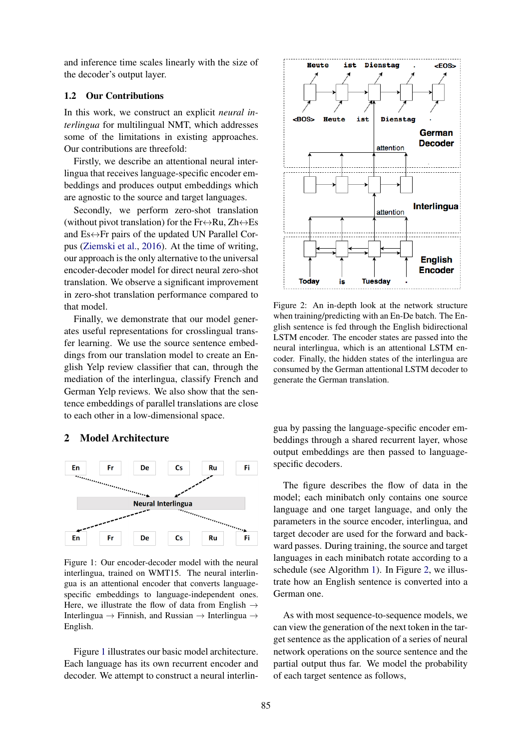and inference time scales linearly with the size of the decoder's output layer.

## 1.2 Our Contributions

In this work, we construct an explicit *neural interlingua* for multilingual NMT, which addresses some of the limitations in existing approaches. Our contributions are threefold:

Firstly, we describe an attentional neural interlingua that receives language-specific encoder embeddings and produces output embeddings which are agnostic to the source and target languages.

Secondly, we perform zero-shot translation (without pivot translation) for the Fr $\leftrightarrow$ Ru, Zh $\leftrightarrow$ Es and  $Es \leftrightarrow Fr$  pairs of the updated UN Parallel Corpus (Ziemski et al., 2016). At the time of writing, our approach is the only alternative to the universal encoder-decoder model for direct neural zero-shot translation. We observe a significant improvement in zero-shot translation performance compared to that model.

Finally, we demonstrate that our model generates useful representations for crosslingual transfer learning. We use the source sentence embeddings from our translation model to create an English Yelp review classifier that can, through the mediation of the interlingua, classify French and German Yelp reviews. We also show that the sentence embeddings of parallel translations are close to each other in a low-dimensional space.

## 2 Model Architecture



Figure 1: Our encoder-decoder model with the neural interlingua, trained on WMT15. The neural interlingua is an attentional encoder that converts languagespecific embeddings to language-independent ones. Here, we illustrate the flow of data from English  $\rightarrow$ Interlingua → Finnish, and Russian → Interlingua → English.

Figure 1 illustrates our basic model architecture. Each language has its own recurrent encoder and decoder. We attempt to construct a neural interlin-



Figure 2: An in-depth look at the network structure when training/predicting with an En-De batch. The English sentence is fed through the English bidirectional LSTM encoder. The encoder states are passed into the neural interlingua, which is an attentional LSTM encoder. Finally, the hidden states of the interlingua are consumed by the German attentional LSTM decoder to generate the German translation.

gua by passing the language-specific encoder embeddings through a shared recurrent layer, whose output embeddings are then passed to languagespecific decoders.

The figure describes the flow of data in the model; each minibatch only contains one source language and one target language, and only the parameters in the source encoder, interlingua, and target decoder are used for the forward and backward passes. During training, the source and target languages in each minibatch rotate according to a schedule (see Algorithm 1). In Figure 2, we illustrate how an English sentence is converted into a German one.

As with most sequence-to-sequence models, we can view the generation of the next token in the target sentence as the application of a series of neural network operations on the source sentence and the partial output thus far. We model the probability of each target sentence as follows,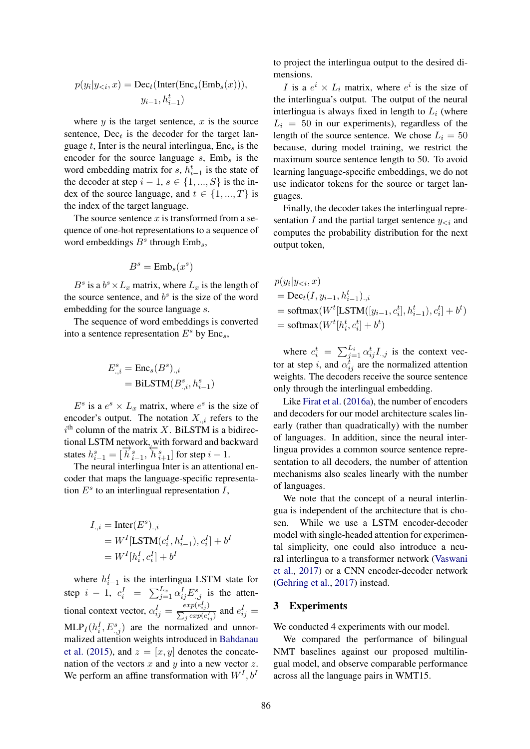$$
p(y_i|y_{< i}, x) = \text{Dec}_t(\text{Inter}(\text{Enc}_s(\text{Emb}_s(x))),
$$

$$
y_{i-1}, h_{i-1}^t)
$$

where  $y$  is the target sentence,  $x$  is the source sentence,  $Dec<sub>t</sub>$  is the decoder for the target language t, Inter is the neural interlingua,  $Enc_s$  is the encoder for the source language  $s$ ,  $Emb<sub>s</sub>$  is the word embedding matrix for s,  $h_{i-1}^t$  is the state of the decoder at step  $i - 1$ ,  $s \in \{1, ..., S\}$  is the index of the source language, and  $t \in \{1, ..., T\}$  is the index of the target language.

The source sentence  $x$  is transformed from a sequence of one-hot representations to a sequence of word embeddings  $B^s$  through  $Emb_s$ ,

$$
B^s = \mathrm{Emb}_s(x^s)
$$

 $B^s$  is a  $b^s \times L_x$  matrix, where  $L_x$  is the length of the source sentence, and  $b^s$  is the size of the word embedding for the source language s.

The sequence of word embeddings is converted into a sentence representation  $E^s$  by Enc<sub>s</sub>,

$$
E_{.,i}^s = \text{Enc}_s(B^s)_{.,i}
$$
  
= 
$$
\text{BiLSTM}(B_{.,i}^s, h_{i-1}^s)
$$

 $E^s$  is a  $e^s \times L_x$  matrix, where  $e^s$  is the size of encoder's output. The notation  $X_{i,i}$  refers to the  $i<sup>th</sup>$  column of the matrix X. BiLSTM is a bidirectional LSTM network, with forward and backward states  $h_{i-1}^s = [\overrightarrow{h}_{i-1}^s, \overleftarrow{h}_{i+1}^s]$  for step  $i-1$ .

The neural interlingua Inter is an attentional encoder that maps the language-specific representation  $E^s$  to an interlingual representation  $I$ ,

$$
\begin{aligned} I_{\cdot,i} &= \text{Inter}(E^s)_{\cdot,i} \\ &= W^I[\text{LSTM}(c^I_i, h^I_{i-1}), c^I_i] + b^I \\ &= W^I[h^I_i, c^I_i] + b^I \end{aligned}
$$

where  $h_{i-1}^I$  is the interlingua LSTM state for  $i-1$ step  $i-1$ ,  $c_i^I = \sum_{j=1}^{L_x} \alpha_{ij}^I E_{:,j}^s$  is the attentional context vector,  $\alpha_{ij}^I = \frac{exp(e_{ij}^I)}{\sum_{j} exp(e_{ij}^I)}$  $\frac{exp(e_{ij}^z)}{\sum_j exp(e_{ij}^I)}$  and  $e_{ij}^I =$  $MLP_I(h_i^I, E_{:,j}^s)$  are the normalized and unnormalized attention weights introduced in Bahdanau et al. (2015), and  $z = [x, y]$  denotes the concatenation of the vectors  $x$  and  $y$  into a new vector  $z$ . We perform an affine transformation with  $W^I$ ,  $b^I$ 

to project the interlingua output to the desired dimensions.

I is a  $e^i \times L_i$  matrix, where  $e^i$  is the size of the interlingua's output. The output of the neural interlingua is always fixed in length to  $L<sub>i</sub>$  (where  $L_i = 50$  in our experiments), regardless of the length of the source sentence. We chose  $L_i = 50$ because, during model training, we restrict the maximum source sentence length to 50. To avoid learning language-specific embeddings, we do not use indicator tokens for the source or target languages.

Finally, the decoder takes the interlingual representation I and the partial target sentence  $y_{\leq i}$  and computes the probability distribution for the next output token,

$$
p(y_i|y_{< i}, x)
$$
  
= Dec<sub>t</sub>(I, y<sub>i-1</sub>, h<sup>t</sup><sub>i-1</sub>),<sub>i</sub>  
= softmax(W<sup>t</sup>[LSTM([y<sub>i-1</sub>, c<sup>t</sup><sub>i</sub>], h<sup>t</sup><sub>i-1</sub>), c<sup>t</sup><sub>i</sub>] + b<sup>t</sup>)  
= softmax(W<sup>t</sup>[h<sup>t</sup><sub>i</sub>, c<sup>t</sup><sub>i</sub>] + b<sup>t</sup>)

where  $c_i^t = \sum_{j=1}^{L_i} \alpha_{ij}^t I_{.,j}$  is the context vector at step *i*, and  $\alpha_{ij}^t$  are the normalized attention weights. The decoders receive the source sentence only through the interlingual embedding.

Like Firat et al. (2016a), the number of encoders and decoders for our model architecture scales linearly (rather than quadratically) with the number of languages. In addition, since the neural interlingua provides a common source sentence representation to all decoders, the number of attention mechanisms also scales linearly with the number of languages.

We note that the concept of a neural interlingua is independent of the architecture that is chosen. While we use a LSTM encoder-decoder model with single-headed attention for experimental simplicity, one could also introduce a neural interlingua to a transformer network (Vaswani et al., 2017) or a CNN encoder-decoder network (Gehring et al., 2017) instead.

#### 3 Experiments

We conducted 4 experiments with our model.

We compared the performance of bilingual NMT baselines against our proposed multilingual model, and observe comparable performance across all the language pairs in WMT15.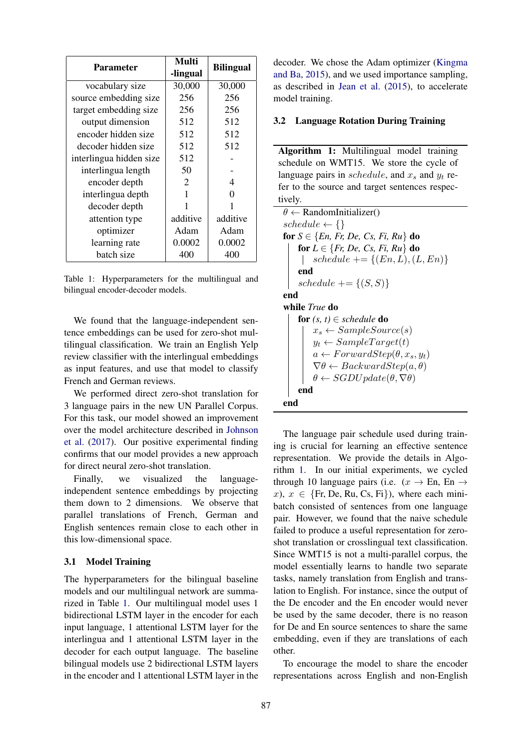| <b>Parameter</b>        | Multi<br>-lingual | <b>Bilingual</b> |  |
|-------------------------|-------------------|------------------|--|
| vocabulary size         | 30,000            | 30,000           |  |
| source embedding size   | 256               | 256              |  |
| target embedding size   | 256               | 256              |  |
| output dimension        | 512               | 512              |  |
| encoder hidden size     | 512               | 512              |  |
| decoder hidden size     | 512               | 512              |  |
| interlingua hidden size | 512               |                  |  |
| interlingua length      | 50                |                  |  |
| encoder depth           | 2                 | 4                |  |
| interlingua depth       | 1                 | ∩                |  |
| decoder depth           |                   |                  |  |
| attention type          | additive          | additive         |  |
| optimizer               | Adam              | Adam             |  |
| learning rate           | 0.0002            | 0.0002           |  |
| batch size              | 400               | 400              |  |

Table 1: Hyperparameters for the multilingual and bilingual encoder-decoder models.

We found that the language-independent sentence embeddings can be used for zero-shot multilingual classification. We train an English Yelp review classifier with the interlingual embeddings as input features, and use that model to classify French and German reviews.

We performed direct zero-shot translation for 3 language pairs in the new UN Parallel Corpus. For this task, our model showed an improvement over the model architecture described in Johnson et al. (2017). Our positive experimental finding confirms that our model provides a new approach for direct neural zero-shot translation.

Finally, we visualized the languageindependent sentence embeddings by projecting them down to 2 dimensions. We observe that parallel translations of French, German and English sentences remain close to each other in this low-dimensional space.

#### 3.1 Model Training

The hyperparameters for the bilingual baseline models and our multilingual network are summarized in Table 1. Our multilingual model uses 1 bidirectional LSTM layer in the encoder for each input language, 1 attentional LSTM layer for the interlingua and 1 attentional LSTM layer in the decoder for each output language. The baseline bilingual models use 2 bidirectional LSTM layers in the encoder and 1 attentional LSTM layer in the decoder. We chose the Adam optimizer (Kingma and Ba, 2015), and we used importance sampling, as described in Jean et al. (2015), to accelerate model training.

#### 3.2 Language Rotation During Training

Algorithm 1: Multilingual model training schedule on WMT15. We store the cycle of language pairs in schedule, and  $x_s$  and  $y_t$  refer to the source and target sentences respectively.

 $\theta \leftarrow$  RandomInitializer()  $schedule \leftarrow {}$ for  $S \in \{En, Fr, De, Cs, Fi, Ru\}$  do for  $L \in \{Fr, De, Cs, Fi, Ru\}$  do | schedule  $+= \{(En, L), (L, En)\}$ end schedule  $+= \{(S, S)\}\$ end while *True* do for  $(s, t) \in schedule$  do  $x_s \leftarrow SampleSource(s)$  $y_t \leftarrow SampleTarget(t)$  $a \leftarrow ForwardStep(\theta, x_s, y_t)$  $\nabla \theta \leftarrow BackwardStep(a, \theta)$  $\theta \leftarrow SGDUpdate(\theta, \nabla \theta)$ end end

The language pair schedule used during training is crucial for learning an effective sentence representation. We provide the details in Algorithm 1. In our initial experiments, we cycled through 10 language pairs (i.e.  $(x \rightarrow En, En \rightarrow$ x),  $x \in \{Fr, De, Ru, Cs, Fi\}$ , where each minibatch consisted of sentences from one language pair. However, we found that the naive schedule failed to produce a useful representation for zeroshot translation or crosslingual text classification. Since WMT15 is not a multi-parallel corpus, the model essentially learns to handle two separate tasks, namely translation from English and translation to English. For instance, since the output of the De encoder and the En encoder would never be used by the same decoder, there is no reason for De and En source sentences to share the same embedding, even if they are translations of each other.

To encourage the model to share the encoder representations across English and non-English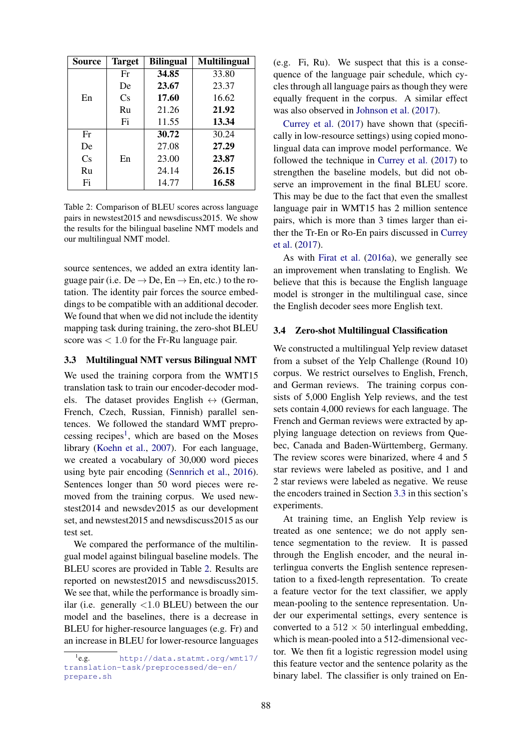| Source | <b>Target</b> | <b>Bilingual</b> | <b>Multilingual</b> |
|--------|---------------|------------------|---------------------|
|        | Fr            | 34.85            | 33.80               |
|        | De            | 23.67            | 23.37               |
| En     | Cs            | 17.60            | 16.62               |
|        | Ru            | 21.26            | 21.92               |
|        | Fi            | 11.55            | 13.34               |
| Fr     |               | 30.72            | 30.24               |
| De     |               | 27.08            | 27.29               |
| Cs     | En            | 23.00            | 23.87               |
| Ru     |               | 24.14            | 26.15               |
| Fi     |               | 14.77            | 16.58               |

Table 2: Comparison of BLEU scores across language pairs in newstest2015 and newsdiscuss2015. We show the results for the bilingual baseline NMT models and our multilingual NMT model.

source sentences, we added an extra identity language pair (i.e.  $De \rightarrow De$ ,  $En \rightarrow En$ , etc.) to the rotation. The identity pair forces the source embeddings to be compatible with an additional decoder. We found that when we did not include the identity mapping task during training, the zero-shot BLEU score was  $< 1.0$  for the Fr-Ru language pair.

## 3.3 Multilingual NMT versus Bilingual NMT

We used the training corpora from the WMT15 translation task to train our encoder-decoder models. The dataset provides English  $\leftrightarrow$  (German, French, Czech, Russian, Finnish) parallel sentences. We followed the standard WMT preprocessing recipes<sup>1</sup>, which are based on the Moses library (Koehn et al., 2007). For each language, we created a vocabulary of 30,000 word pieces using byte pair encoding (Sennrich et al., 2016). Sentences longer than 50 word pieces were removed from the training corpus. We used newstest2014 and newsdev2015 as our development set, and newstest2015 and newsdiscuss2015 as our test set.

We compared the performance of the multilingual model against bilingual baseline models. The BLEU scores are provided in Table 2. Results are reported on newstest2015 and newsdiscuss2015. We see that, while the performance is broadly similar (i.e. generally <1.0 BLEU) between the our model and the baselines, there is a decrease in BLEU for higher-resource languages (e.g. Fr) and an increase in BLEU for lower-resource languages (e.g. Fi, Ru). We suspect that this is a consequence of the language pair schedule, which cycles through all language pairs as though they were equally frequent in the corpus. A similar effect was also observed in Johnson et al. (2017).

Currey et al. (2017) have shown that (specifically in low-resource settings) using copied monolingual data can improve model performance. We followed the technique in Currey et al. (2017) to strengthen the baseline models, but did not observe an improvement in the final BLEU score. This may be due to the fact that even the smallest language pair in WMT15 has 2 million sentence pairs, which is more than 3 times larger than either the Tr-En or Ro-En pairs discussed in Currey et al. (2017).

As with Firat et al. (2016a), we generally see an improvement when translating to English. We believe that this is because the English language model is stronger in the multilingual case, since the English decoder sees more English text.

#### 3.4 Zero-shot Multilingual Classification

We constructed a multilingual Yelp review dataset from a subset of the Yelp Challenge (Round 10) corpus. We restrict ourselves to English, French, and German reviews. The training corpus consists of 5,000 English Yelp reviews, and the test sets contain 4,000 reviews for each language. The French and German reviews were extracted by applying language detection on reviews from Quebec, Canada and Baden-Württemberg, Germany. The review scores were binarized, where 4 and 5 star reviews were labeled as positive, and 1 and 2 star reviews were labeled as negative. We reuse the encoders trained in Section 3.3 in this section's experiments.

At training time, an English Yelp review is treated as one sentence; we do not apply sentence segmentation to the review. It is passed through the English encoder, and the neural interlingua converts the English sentence representation to a fixed-length representation. To create a feature vector for the text classifier, we apply mean-pooling to the sentence representation. Under our experimental settings, every sentence is converted to a  $512 \times 50$  interlingual embedding, which is mean-pooled into a 512-dimensional vector. We then fit a logistic regression model using this feature vector and the sentence polarity as the binary label. The classifier is only trained on En-

 $^{1}$ e.g. http://data.statmt.org/wmt17/ translation-task/preprocessed/de-en/ prepare.sh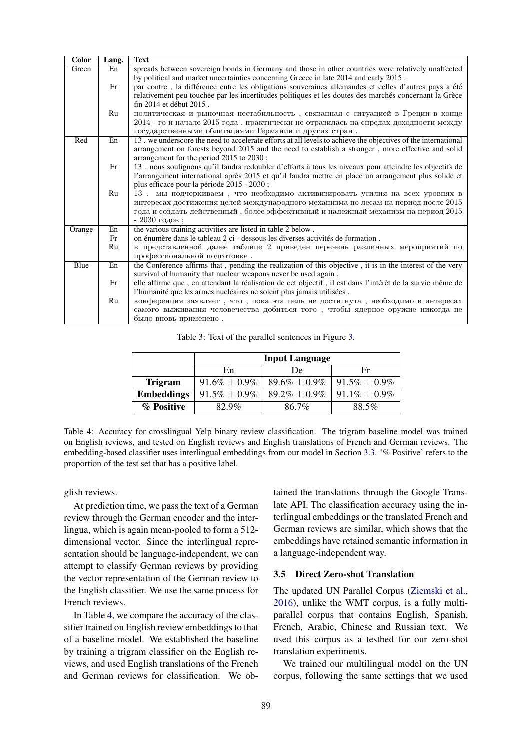| <b>Color</b> | Lang. | Text                                                                                                          |
|--------------|-------|---------------------------------------------------------------------------------------------------------------|
| Green        | En    | spreads between sovereign bonds in Germany and those in other countries were relatively unaffected            |
|              |       | by political and market uncertainties concerning Greece in late 2014 and early 2015.                          |
|              | Fr    | par contre, la différence entre les obligations souveraines allemandes et celles d'autres pays a été          |
|              |       | relativement peu touchée par les incertitudes politiques et les doutes des marchés concernant la Grèce        |
|              |       | fin 2014 et début 2015.                                                                                       |
|              | Ru    | политическая и рыночная нестабильность, связанная с ситуацией в Греции в конце                                |
|              |       | 2014 - го и начале 2015 года, практически не отразилась на спредах доходности между                           |
|              |       | государственными облигациями Германии и других стран.                                                         |
| Red          | En    | 13. we underscore the need to accelerate efforts at all levels to achieve the objectives of the international |
|              |       | arrangement on forests beyond 2015 and the need to establish a stronger, more effective and solid             |
|              |       | arrangement for the period 2015 to 2030;                                                                      |
|              | Fr    | 13. nous soulignons qu'il faudra redoubler d'efforts à tous les niveaux pour atteindre les objectifs de       |
|              |       | l'arrangement international après 2015 et qu'il faudra mettre en place un arrangement plus solide et          |
|              |       | plus efficace pour la période 2015 - 2030;                                                                    |
|              | Ru    | 13. мы подчеркиваем, что необходимо активизировать усилия на всех уровнях в                                   |
|              |       | интересах достижения целей международного механизма по лесам на период после 2015                             |
|              |       | года и создать действенный, более эффективный и надежный механизм на период 2015                              |
|              |       | - 2030 годов;                                                                                                 |
| Orange       | En    | the various training activities are listed in table 2 below.                                                  |
|              | Fr    | on énumère dans le tableau 2 ci - dessous les diverses activités de formation.                                |
|              | Ru    | в представленной далее таблице 2 приведен перечень различных мероприятий по                                   |
|              |       | профессиональной подготовке.                                                                                  |
| Blue         | En    | the Conference affirms that, pending the realization of this objective, it is in the interest of the very     |
|              |       | survival of humanity that nuclear weapons never be used again.                                                |
|              | Fr    | elle affirme que, en attendant la réalisation de cet objectif, il est dans l'intérêt de la survie même de     |
|              |       | l'humanité que les armes nucléaires ne soient plus jamais utilisées.                                          |
|              | Ru    | конференция заявляет, что, пока эта цель не достигнута, необходимо в интересах                                |
|              |       | самого выживания человечества добиться того, чтобы ядерное оружие никогда не                                  |
|              |       | было вновь применено.                                                                                         |

Table 3: Text of the parallel sentences in Figure 3.

|                   | <b>Input Language</b> |                    |                    |  |  |
|-------------------|-----------------------|--------------------|--------------------|--|--|
|                   | En                    | De                 | Fr                 |  |  |
| <b>Trigram</b>    | $91.6\% \pm 0.9\%$    | $89.6\% \pm 0.9\%$ | $91.5\% \pm 0.9\%$ |  |  |
| <b>Embeddings</b> | $91.5\% \pm 0.9\%$    | $89.2\% \pm 0.9\%$ | $91.1\% \pm 0.9\%$ |  |  |
| % Positive        | 82.9%                 | 86.7%              | 88.5%              |  |  |

Table 4: Accuracy for crosslingual Yelp binary review classification. The trigram baseline model was trained on English reviews, and tested on English reviews and English translations of French and German reviews. The embedding-based classifier uses interlingual embeddings from our model in Section 3.3. '% Positive' refers to the proportion of the test set that has a positive label.

glish reviews.

At prediction time, we pass the text of a German review through the German encoder and the interlingua, which is again mean-pooled to form a 512 dimensional vector. Since the interlingual representation should be language-independent, we can attempt to classify German reviews by providing the vector representation of the German review to the English classifier. We use the same process for French reviews.

In Table 4, we compare the accuracy of the classifier trained on English review embeddings to that of a baseline model. We established the baseline by training a trigram classifier on the English reviews, and used English translations of the French and German reviews for classification. We obtained the translations through the Google Translate API. The classification accuracy using the interlingual embeddings or the translated French and German reviews are similar, which shows that the embeddings have retained semantic information in a language-independent way.

#### 3.5 Direct Zero-shot Translation

The updated UN Parallel Corpus (Ziemski et al., 2016), unlike the WMT corpus, is a fully multiparallel corpus that contains English, Spanish, French, Arabic, Chinese and Russian text. We used this corpus as a testbed for our zero-shot translation experiments.

We trained our multilingual model on the UN corpus, following the same settings that we used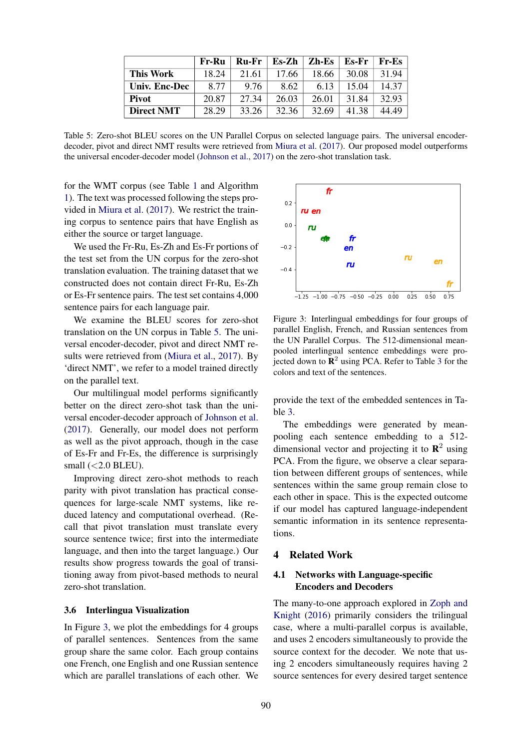|                   | Fr-Ru | Ru-Fr | $Es-Zh$ | Zh-Es | Es-Fr | <b>Fr-Es</b> |
|-------------------|-------|-------|---------|-------|-------|--------------|
| This Work         | 18.24 | 21.61 | 17.66   | 18.66 | 30.08 | 31.94        |
| Univ. Enc-Dec     | 8.77  | 9.76  | 8.62    | 6.13  | 15.04 | 14.37        |
| <b>Pivot</b>      | 20.87 | 27.34 | 26.03   | 26.01 | 31.84 | 32.93        |
| <b>Direct NMT</b> | 28.29 | 33.26 | 32.36   | 32.69 | 41.38 | 44.49        |

Table 5: Zero-shot BLEU scores on the UN Parallel Corpus on selected language pairs. The universal encoderdecoder, pivot and direct NMT results were retrieved from Miura et al. (2017). Our proposed model outperforms the universal encoder-decoder model (Johnson et al., 2017) on the zero-shot translation task.

for the WMT corpus (see Table 1 and Algorithm 1). The text was processed following the steps provided in Miura et al. (2017). We restrict the training corpus to sentence pairs that have English as either the source or target language.

We used the Fr-Ru, Es-Zh and Es-Fr portions of the test set from the UN corpus for the zero-shot translation evaluation. The training dataset that we constructed does not contain direct Fr-Ru, Es-Zh or Es-Fr sentence pairs. The test set contains 4,000 sentence pairs for each language pair.

We examine the BLEU scores for zero-shot translation on the UN corpus in Table 5. The universal encoder-decoder, pivot and direct NMT results were retrieved from (Miura et al., 2017). By 'direct NMT', we refer to a model trained directly on the parallel text.

Our multilingual model performs significantly better on the direct zero-shot task than the universal encoder-decoder approach of Johnson et al. (2017). Generally, our model does not perform as well as the pivot approach, though in the case of Es-Fr and Fr-Es, the difference is surprisingly small  $(<2.0$  BLEU).

Improving direct zero-shot methods to reach parity with pivot translation has practical consequences for large-scale NMT systems, like reduced latency and computational overhead. (Recall that pivot translation must translate every source sentence twice; first into the intermediate language, and then into the target language.) Our results show progress towards the goal of transitioning away from pivot-based methods to neural zero-shot translation.

#### 3.6 Interlingua Visualization

In Figure 3, we plot the embeddings for 4 groups of parallel sentences. Sentences from the same group share the same color. Each group contains one French, one English and one Russian sentence which are parallel translations of each other. We



Figure 3: Interlingual embeddings for four groups of parallel English, French, and Russian sentences from the UN Parallel Corpus. The 512-dimensional meanpooled interlingual sentence embeddings were projected down to  $\mathbb{R}^2$  using PCA. Refer to Table 3 for the colors and text of the sentences.

provide the text of the embedded sentences in Table 3.

The embeddings were generated by meanpooling each sentence embedding to a 512 dimensional vector and projecting it to  $\mathbb{R}^2$  using PCA. From the figure, we observe a clear separation between different groups of sentences, while sentences within the same group remain close to each other in space. This is the expected outcome if our model has captured language-independent semantic information in its sentence representations.

#### 4 Related Work

## 4.1 Networks with Language-specific Encoders and Decoders

The many-to-one approach explored in Zoph and Knight (2016) primarily considers the trilingual case, where a multi-parallel corpus is available, and uses 2 encoders simultaneously to provide the source context for the decoder. We note that using 2 encoders simultaneously requires having 2 source sentences for every desired target sentence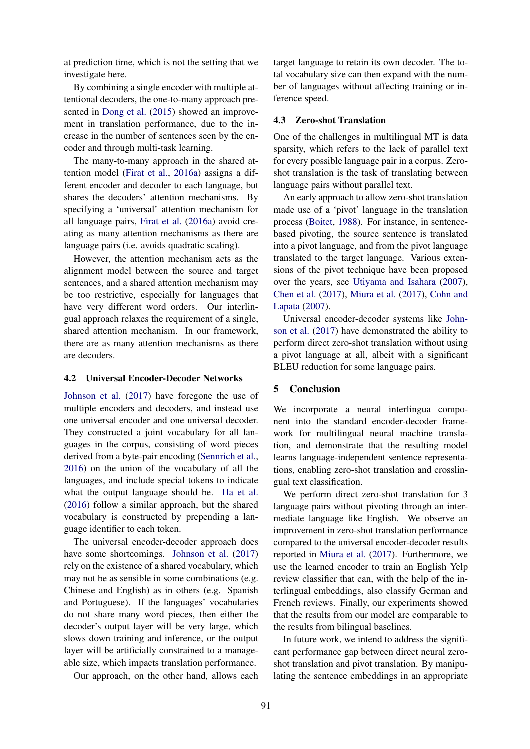at prediction time, which is not the setting that we investigate here.

By combining a single encoder with multiple attentional decoders, the one-to-many approach presented in Dong et al. (2015) showed an improvement in translation performance, due to the increase in the number of sentences seen by the encoder and through multi-task learning.

The many-to-many approach in the shared attention model (Firat et al., 2016a) assigns a different encoder and decoder to each language, but shares the decoders' attention mechanisms. By specifying a 'universal' attention mechanism for all language pairs, Firat et al. (2016a) avoid creating as many attention mechanisms as there are language pairs (i.e. avoids quadratic scaling).

However, the attention mechanism acts as the alignment model between the source and target sentences, and a shared attention mechanism may be too restrictive, especially for languages that have very different word orders. Our interlingual approach relaxes the requirement of a single, shared attention mechanism. In our framework, there are as many attention mechanisms as there are decoders.

#### 4.2 Universal Encoder-Decoder Networks

Johnson et al. (2017) have foregone the use of multiple encoders and decoders, and instead use one universal encoder and one universal decoder. They constructed a joint vocabulary for all languages in the corpus, consisting of word pieces derived from a byte-pair encoding (Sennrich et al., 2016) on the union of the vocabulary of all the languages, and include special tokens to indicate what the output language should be. Ha et al. (2016) follow a similar approach, but the shared vocabulary is constructed by prepending a language identifier to each token.

The universal encoder-decoder approach does have some shortcomings. Johnson et al. (2017) rely on the existence of a shared vocabulary, which may not be as sensible in some combinations (e.g. Chinese and English) as in others (e.g. Spanish and Portuguese). If the languages' vocabularies do not share many word pieces, then either the decoder's output layer will be very large, which slows down training and inference, or the output layer will be artificially constrained to a manageable size, which impacts translation performance.

Our approach, on the other hand, allows each

target language to retain its own decoder. The total vocabulary size can then expand with the number of languages without affecting training or inference speed.

#### 4.3 Zero-shot Translation

One of the challenges in multilingual MT is data sparsity, which refers to the lack of parallel text for every possible language pair in a corpus. Zeroshot translation is the task of translating between language pairs without parallel text.

An early approach to allow zero-shot translation made use of a 'pivot' language in the translation process (Boitet, 1988). For instance, in sentencebased pivoting, the source sentence is translated into a pivot language, and from the pivot language translated to the target language. Various extensions of the pivot technique have been proposed over the years, see Utiyama and Isahara (2007), Chen et al. (2017), Miura et al. (2017), Cohn and Lapata (2007).

Universal encoder-decoder systems like Johnson et al. (2017) have demonstrated the ability to perform direct zero-shot translation without using a pivot language at all, albeit with a significant BLEU reduction for some language pairs.

#### 5 Conclusion

We incorporate a neural interlingua component into the standard encoder-decoder framework for multilingual neural machine translation, and demonstrate that the resulting model learns language-independent sentence representations, enabling zero-shot translation and crosslingual text classification.

We perform direct zero-shot translation for 3 language pairs without pivoting through an intermediate language like English. We observe an improvement in zero-shot translation performance compared to the universal encoder-decoder results reported in Miura et al. (2017). Furthermore, we use the learned encoder to train an English Yelp review classifier that can, with the help of the interlingual embeddings, also classify German and French reviews. Finally, our experiments showed that the results from our model are comparable to the results from bilingual baselines.

In future work, we intend to address the significant performance gap between direct neural zeroshot translation and pivot translation. By manipulating the sentence embeddings in an appropriate